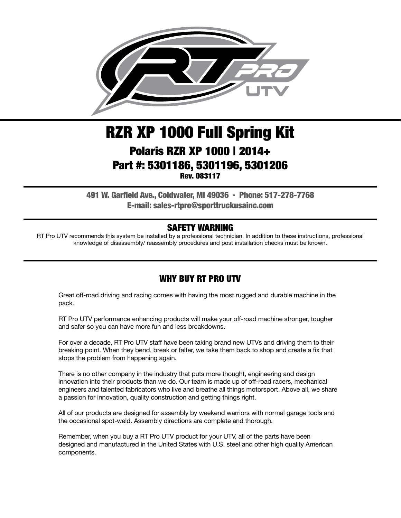

# RZR XP 1000 Full Spring Kit Polaris RZR XP 1000 | 2014+ Part #: 5301186, 5301196, 5301206 Rev. 083117

491 W. Garfield Ave., Coldwater, MI 49036 . Phone: 517-278-7768 E-mail: sales-rtpro@sporttruckusainc.com

#### SAFETY WARNING

RT Pro UTV recommends this system be installed by a professional technician. In addition to these instructions, professional knowledge of disassembly/ reassembly procedures and post installation checks must be known.

#### WHY BUY RT PRO UTV

Great off-road driving and racing comes with having the most rugged and durable machine in the pack.

RT Pro UTV performance enhancing products will make your off-road machine stronger, tougher and safer so you can have more fun and less breakdowns.

For over a decade, RT Pro UTV staff have been taking brand new UTVs and driving them to their breaking point. When they bend, break or falter, we take them back to shop and create a fix that stops the problem from happening again.

There is no other company in the industry that puts more thought, engineering and design innovation into their products than we do. Our team is made up of off-road racers, mechanical engineers and talented fabricators who live and breathe all things motorsport. Above all, we share a passion for innovation, quality construction and getting things right.

All of our products are designed for assembly by weekend warriors with normal garage tools and the occasional spot-weld. Assembly directions are complete and thorough.

Remember, when you buy a RT Pro UTV product for your UTV, all of the parts have been designed and manufactured in the United States with U.S. steel and other high quality American components.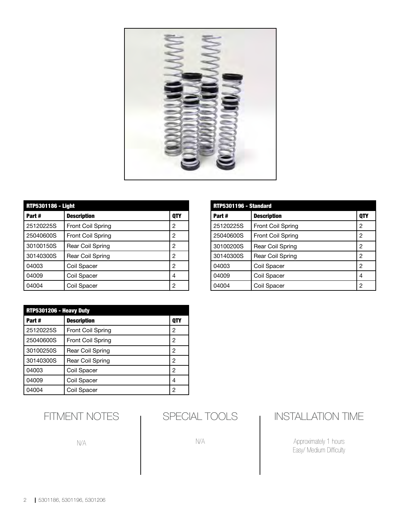

| <b>RTP5301186 - Light</b> |                          |            |  |
|---------------------------|--------------------------|------------|--|
| Part#                     | <b>Description</b>       | <b>QTY</b> |  |
| 25120225S                 | Front Coil Spring        | 2          |  |
| 25040600S                 | <b>Front Coil Spring</b> | 2          |  |
| 30100150S                 | <b>Rear Coil Spring</b>  | 2          |  |
| 30140300S                 | Rear Coil Spring         | 2          |  |
| 04003                     | Coil Spacer              | 2          |  |
| 04009                     | Coil Spacer              | 4          |  |
| 04004                     | Coil Spacer              | 2          |  |

| 04004                   | Coll Spacer              | ∠          |
|-------------------------|--------------------------|------------|
|                         |                          |            |
| RTP5301206 - Heavy Duty |                          |            |
| Part #                  | <b>Description</b>       | <b>QTY</b> |
| 25120225S               | <b>Front Coil Spring</b> | 2          |
| 25040600S               | <b>Front Coil Spring</b> | 2          |
| 30100250S               | <b>Rear Coil Spring</b>  | 2          |
| 30140300S               | <b>Rear Coil Spring</b>  | 2          |
| 04003                   | Coil Spacer              | 2          |
| 04009                   | Coil Spacer              | 4          |
| 04004                   | Coil Spacer              | 2          |

| RTP5301196 - Standard |                          |     |  |
|-----------------------|--------------------------|-----|--|
| Part#                 | <b>Description</b>       | QTY |  |
| 25120225S             | <b>Front Coil Spring</b> | 2   |  |
| 25040600S             | Front Coil Spring        | 2   |  |
| 30100200S             | Rear Coil Spring         | 2   |  |
| 30140300S             | Rear Coil Spring         | 2   |  |
| 04003                 | Coil Spacer              | 2   |  |
| 04009                 | Coil Spacer              | 4   |  |
| 04004                 | Coil Spacer              | 2   |  |

SPECIAL TOOLS

N/A

## INSTALLATION TIME

Approximately 1 hours Easy/ Medium Difficulty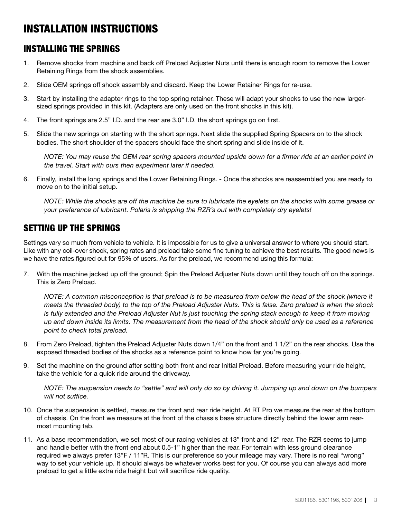# INSTALLATION INSTRUCTIONS

#### INSTALLING THE SPRINGS

- 1. Remove shocks from machine and back off Preload Adjuster Nuts until there is enough room to remove the Lower Retaining Rings from the shock assemblies.
- 2. Slide OEM springs off shock assembly and discard. Keep the Lower Retainer Rings for re-use.
- 3. Start by installing the adapter rings to the top spring retainer. These will adapt your shocks to use the new largersized springs provided in this kit. (Adapters are only used on the front shocks in this kit).
- 4. The front springs are 2.5" I.D. and the rear are 3.0" I.D. the short springs go on first.
- 5. Slide the new springs on starting with the short springs. Next slide the supplied Spring Spacers on to the shock bodies. The short shoulder of the spacers should face the short spring and slide inside of it.

*NOTE: You may reuse the OEM rear spring spacers mounted upside down for a firmer ride at an earlier point in the travel. Start with ours then experiment later if needed.*

6. Finally, install the long springs and the Lower Retaining Rings. - Once the shocks are reassembled you are ready to move on to the initial setup.

*NOTE: While the shocks are off the machine be sure to lubricate the eyelets on the shocks with some grease or your preference of lubricant. Polaris is shipping the RZR's out with completely dry eyelets!*

### SETTING UP THE SPRINGS

Settings vary so much from vehicle to vehicle. It is impossible for us to give a universal answer to where you should start. Like with any coil-over shock, spring rates and preload take some fine tuning to achieve the best results. The good news is we have the rates figured out for 95% of users. As for the preload, we recommend using this formula:

7. With the machine jacked up off the ground; Spin the Preload Adjuster Nuts down until they touch off on the springs. This is Zero Preload.

*NOTE: A common misconception is that preload is to be measured from below the head of the shock (where it meets the threaded body) to the top of the Preload Adjuster Nuts. This is false. Zero preload is when the shock is fully extended and the Preload Adjuster Nut is just touching the spring stack enough to keep it from moving up and down inside its limits. The measurement from the head of the shock should only be used as a reference point to check total preload.*

- 8. From Zero Preload, tighten the Preload Adjuster Nuts down 1/4" on the front and 1 1/2" on the rear shocks. Use the exposed threaded bodies of the shocks as a reference point to know how far you're going.
- 9. Set the machine on the ground after setting both front and rear Initial Preload. Before measuring your ride height, take the vehicle for a quick ride around the driveway.

*NOTE: The suspension needs to "settle" and will only do so by driving it. Jumping up and down on the bumpers will not suffice.*

- 10. Once the suspension is settled, measure the front and rear ride height. At RT Pro we measure the rear at the bottom of chassis. On the front we measure at the front of the chassis base structure directly behind the lower arm rearmost mounting tab.
- 11. As a base recommendation, we set most of our racing vehicles at 13" front and 12" rear. The RZR seems to jump and handle better with the front end about 0.5-1" higher than the rear. For terrain with less ground clearance required we always prefer 13"F / 11"R. This is our preference so your mileage may vary. There is no real "wrong" way to set your vehicle up. It should always be whatever works best for you. Of course you can always add more preload to get a little extra ride height but will sacrifice ride quality.